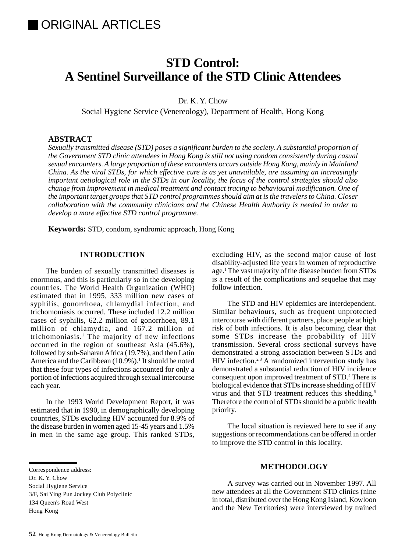# **STD Control: A Sentinel Surveillance of the STD Clinic Attendees**

Dr. K. Y. Chow

Social Hygiene Service (Venereology), Department of Health, Hong Kong

# **ABSTRACT**

*Sexually transmitted disease (STD) poses a significant burden to the society. A substantial proportion of the Government STD clinic attendees in Hong Kong is still not using condom consistently during casual sexual encounters. A large proportion of these encounters occurs outside Hong Kong, mainly in Mainland China. As the viral STDs, for which effective cure is as yet unavailable, are assuming an increasingly important aetiological role in the STDs in our locality, the focus of the control strategies should also change from improvement in medical treatment and contact tracing to behavioural modification. One of the important target groups that STD control programmes should aim at is the travelers to China. Closer collaboration with the community clinicians and the Chinese Health Authority is needed in order to develop a more effective STD control programme.*

**Keywords:** STD, condom, syndromic approach, Hong Kong

### **INTRODUCTION**

The burden of sexually transmitted diseases is enormous, and this is particularly so in the developing countries. The World Health Organization (WHO) estimated that in 1995, 333 million new cases of syphilis, gonorrhoea, chlamydial infection, and trichomoniasis occurred. These included 12.2 million cases of syphilis, 62.2 million of gonorrhoea, 89.1 million of chlamydia, and 167.2 million of trichomoniasis.1 The majority of new infections occurred in the region of southeast Asia (45.6%), followed by sub-Saharan Africa (19.7%), and then Latin America and the Caribbean (10.9%).<sup>1</sup> It should be noted that these four types of infections accounted for only a portion of infections acquired through sexual intercourse each year.

In the 1993 World Development Report, it was estimated that in 1990, in demographically developing countries, STDs excluding HIV accounted for 8.9% of the disease burden in women aged 15-45 years and 1.5% in men in the same age group. This ranked STDs,

Correspondence address:

Social Hygiene Service

3/F, Sai Ying Pun Jockey Club Polyclinic

excluding HIV, as the second major cause of lost disability-adjusted life years in women of reproductive age.1 The vast majority of the disease burden from STDs is a result of the complications and sequelae that may follow infection.

The STD and HIV epidemics are interdependent. Similar behaviours, such as frequent unprotected intercourse with different partners, place people at high risk of both infections. It is also becoming clear that some STDs increase the probability of HIV transmission. Several cross sectional surveys have demonstrated a strong association between STDs and HIV infection.<sup>2,3</sup> A randomized intervention study has demonstrated a substantial reduction of HIV incidence consequent upon improved treatment of STD.<sup>4</sup> There is biological evidence that STDs increase shedding of HIV virus and that STD treatment reduces this shedding.5 Therefore the control of STDs should be a public health priority.

The local situation is reviewed here to see if any suggestions or recommendations can be offered in order to improve the STD control in this locality.

### **METHODOLOGY**

A survey was carried out in November 1997. All new attendees at all the Government STD clinics (nine in total, distributed over the Hong Kong Island, Kowloon and the New Territories) were interviewed by trained

Dr. K. Y. Chow

<sup>134</sup> Queen's Road West Hong Kong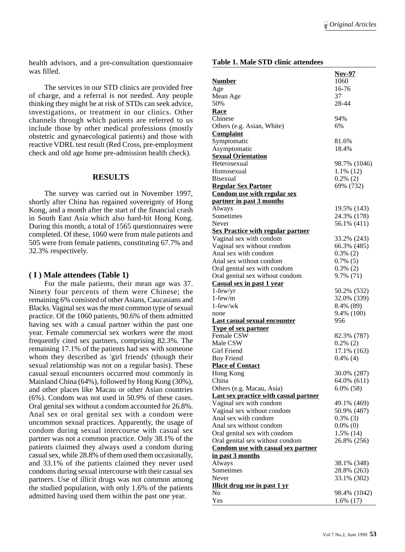health advisors, and a pre-consultation questionnaire was filled.

The services in our STD clinics are provided free of charge, and a referral is not needed. Any people thinking they might be at risk of STDs can seek advice, investigations, or treatment in our clinics. Other channels through which patients are referred to us include those by other medical professions (mostly obstetric and gynaecological patients) and those with reactive VDRL test result (Red Cross, pre-employment check and old age home pre-admission health check).

### **RESULTS**

The survey was carried out in November 1997, shortly after China has regained sovereignty of Hong Kong, and a month after the start of the financial crash in South East Asia which also hard-hit Hong Kong. During this month, a total of 1565 questionnaires were completed. Of these, 1060 were from male patients and 505 were from female patients, constituting 67.7% and 32.3% respectively.

#### **( I ) Male attendees (Table 1)**

For the male patients, their mean age was 37. Ninety four percents of them were Chinese; the remaining 6% consisted of other Asians, Caucasians and Blacks. Vaginal sex was the most common type of sexual practice. Of the 1060 patients, 90.6% of them admitted having sex with a casual partner within the past one year. Female commercial sex workers were the most frequently cited sex partners, comprising 82.3%. The remaining 17.1% of the patients had sex with someone whom they described as 'girl friends' (though their sexual relationship was not on a regular basis). These casual sexual encounters occurred most commonly in Mainland China (64%), followed by Hong Kong (30%), and other places like Macau or other Asian countries (6%). Condom was not used in 50.9% of these cases. Oral genital sex without a condom accounted for 26.8%. Anal sex or oral genital sex with a condom were uncommon sexual practices. Apparently, the usage of condom during sexual intercourse with casual sex partner was not a common practice. Only 38.1% of the patients claimed they always used a condom during casual sex, while 28.8% of them used them occasionally, and 33.1% of the patients claimed they never used condoms during sexual intercourse with their casual sex partners. Use of illicit drugs was not common among the studied population, with only 1.6% of the patients admitted having used them within the past one year.

#### **Table 1. Male STD clinic attendees**

|                                                       | <u>Nov-97</u>  |  |  |  |  |
|-------------------------------------------------------|----------------|--|--|--|--|
| <b>Number</b>                                         | 1060           |  |  |  |  |
| Age                                                   | 16-76          |  |  |  |  |
| Mean Age                                              | 37             |  |  |  |  |
| 50%                                                   | 28-44          |  |  |  |  |
| <b>Race</b>                                           |                |  |  |  |  |
| Chinese                                               | 94%            |  |  |  |  |
| Others (e.g. Asian, White)                            | 6%             |  |  |  |  |
| <b>Complaint</b>                                      |                |  |  |  |  |
| Symptomatic                                           | 81.6%          |  |  |  |  |
| Asymptomatic                                          | 18.4%          |  |  |  |  |
| <b>Sexual Orientation</b>                             |                |  |  |  |  |
| Heterosexual                                          | 98.7% (1046)   |  |  |  |  |
| Homosexual                                            | $1.1\%$ (12)   |  |  |  |  |
| Bisexual                                              | $0.2\%$ (2)    |  |  |  |  |
| <b>Regular Sex Partner</b>                            | 69% (732)      |  |  |  |  |
| <b>Condom use with regular sex</b>                    |                |  |  |  |  |
| partner in past 3 months                              |                |  |  |  |  |
| Always                                                | 19.5% (143)    |  |  |  |  |
| Sometimes<br>Never                                    | 24.3% (178)    |  |  |  |  |
|                                                       | 56.1% (411)    |  |  |  |  |
| <b>Sex Practice with regular partner</b>              | 33.2% (243)    |  |  |  |  |
| Vaginal sex with condom<br>Vaginal sex without condom | 66.3% (485)    |  |  |  |  |
| Anal sex with condom                                  | $0.3\%$ (2)    |  |  |  |  |
| Anal sex without condom                               | $0.7\%$ (5)    |  |  |  |  |
| Oral genital sex with condom                          | $0.3\%$ (2)    |  |  |  |  |
| Oral genital sex without condom                       | 9.7% (71)      |  |  |  |  |
| Casual sex in past 1 year                             |                |  |  |  |  |
| $1$ -few/yr                                           | 50.2% (532)    |  |  |  |  |
| $1$ -few/m                                            | 32.0% (339)    |  |  |  |  |
| $1$ -few/wk                                           | 8.4% (89)      |  |  |  |  |
| none                                                  | 9.4% (100)     |  |  |  |  |
| <b>Last casual sexual encounter</b>                   | 956            |  |  |  |  |
| <b>Type of sex partner</b>                            |                |  |  |  |  |
| Female CSW                                            | 82.3% (787)    |  |  |  |  |
| Male CSW                                              | $0.2\%$ (2)    |  |  |  |  |
| <b>Girl Friend</b>                                    | 17.1% (163)    |  |  |  |  |
| <b>Boy Friend</b>                                     | $0.4\%$ (4)    |  |  |  |  |
| <b>Place of Contact</b>                               |                |  |  |  |  |
| Hong Kong                                             | 30.0% (287)    |  |  |  |  |
| China                                                 | 64.0% (611)    |  |  |  |  |
| Others (e.g. Macau, Asia)                             | $6.0\%$ $(58)$ |  |  |  |  |
| <b>Last sex practice with casual partner</b>          |                |  |  |  |  |
| Vaginal sex with condom                               | 49.1% (469)    |  |  |  |  |
| Vaginal sex without condom                            | 50.9% (487)    |  |  |  |  |
| Anal sex with condom                                  | $0.3\%$ (3)    |  |  |  |  |
| Anal sex without condom                               | $0.0\%$ (0)    |  |  |  |  |
| Oral genital sex with condom                          | 1.5% (14)      |  |  |  |  |
| Oral genital sex without condom                       | 26.8% (256)    |  |  |  |  |
| <b>Condom use with casual sex partner</b>             |                |  |  |  |  |
| in past 3 months                                      |                |  |  |  |  |
| Always                                                | 38.1% (348)    |  |  |  |  |
| Sometimes                                             | 28.8% (263)    |  |  |  |  |
| Never                                                 | 33.1% (302)    |  |  |  |  |
| <b>Illicit drug use in past 1 yr</b>                  |                |  |  |  |  |
| No                                                    | 98.4% (1042)   |  |  |  |  |
| Yes                                                   | $1.6\%$ (17)   |  |  |  |  |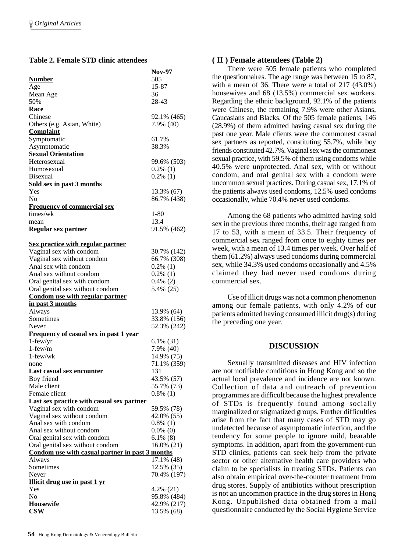### **Table 2. Female STD clinic attendees**

|                                                 | Nov-97                    |
|-------------------------------------------------|---------------------------|
| <b>Number</b>                                   | 505                       |
| Age                                             | 15-87                     |
| Mean Age                                        | 36                        |
| 50%                                             | 28-43                     |
| Race                                            |                           |
| Chinese                                         | 92.1% (465)               |
| Others (e.g. Asian, White)                      | 7.9% (40)                 |
| <b>Complaint</b>                                |                           |
| Symptomatic                                     | 61.7%                     |
| Asymptomatic                                    | 38.3%                     |
| <b>Sexual Orientation</b>                       |                           |
| Heterosexual                                    |                           |
|                                                 | 99.6% (503)               |
| Homosexual                                      | $0.2\%$ (1)               |
| <b>Bisexual</b>                                 | $0.2\%$ (1)               |
| <b>Sold sex in past 3 months</b>                |                           |
| Yes                                             | 13.3% (67)                |
| N <sub>0</sub>                                  | 86.7% (438)               |
| <b>Frequency of commercial sex</b>              |                           |
| times/wk                                        | 1-80                      |
| mean                                            | 13.4                      |
| <u>Regular sex partner</u>                      | 91.5% (462)               |
|                                                 |                           |
| <b>Sex practice with regular partner</b>        |                           |
| Vaginal sex with condom                         | 30.7% (142)               |
| Vaginal sex without condom                      | 66.7% (308)               |
| Anal sex with condom                            | $0.2\%$ (1)               |
| Anal sex without condom                         | $0.2\%$ (1)               |
| Oral genital sex with condom                    | $0.4\%$ (2)               |
| Oral genital sex without condom                 | 5.4% (25)                 |
| Condom use with regular partner                 |                           |
| in past 3 months                                |                           |
| Always                                          | 13.9% (64)                |
| Sometimes                                       | 33.8% (156)               |
| Never                                           | 52.3% (242)               |
| <b>Frequency of casual sex in past 1 year</b>   |                           |
| $1$ -few/yr                                     | $6.1\%$ (31)              |
| $1$ -few/m                                      | 7.9% (40)                 |
| 1-few/wk                                        |                           |
|                                                 | 14.9% (75)                |
| none                                            |                           |
|                                                 | 71.1% (359)               |
| <b>Last casual sex encounter</b>                | 131                       |
| Boy friend                                      | 43.5% (57)                |
| Male client                                     | 55.7% (73)                |
| Female client                                   | $0.8\%$ (1)               |
| Last sex practice with casual sex partner       |                           |
| Vaginal sex with condom                         | 59.5% (78)                |
| Vaginal sex without condom                      | 42.0% (55)                |
| Anal sex with condom                            | $0.8\%$ (1)               |
| Anal sex without condom                         | $0.0\%$ (0)               |
| Oral genital sex with condom                    | $6.1\%$ (8)               |
| Oral genital sex without condom                 | $16.0\% (21)$             |
| Condom use with casual partner in past 3 months |                           |
| Always                                          | 17.1% (48)                |
| Sometimes                                       | 12.5% (35)                |
| Never                                           | 70.4% (197)               |
| <b>Illicit drug use in past 1 yr</b>            |                           |
| Yes                                             | 4.2% (21)                 |
| No                                              | 95.8% (484)               |
| <b>Housewife</b>                                |                           |
| <b>CSW</b>                                      | 42.9% (217)<br>13.5% (68) |

# **( II ) Female attendees (Table 2)**

There were 505 female patients who completed the questionnaires. The age range was between 15 to 87, with a mean of 36. There were a total of 217 (43.0%) housewives and 68 (13.5%) commercial sex workers. Regarding the ethnic background, 92.1% of the patients were Chinese, the remaining 7.9% were other Asians, Caucasians and Blacks. Of the 505 female patients, 146 (28.9%) of them admitted having casual sex during the past one year. Male clients were the commonest casual sex partners as reported, constituting 55.7%, while boy friends constituted 42.7%. Vaginal sex was the commonest sexual practice, with 59.5% of them using condoms while 40.5% were unprotected. Anal sex, with or without condom, and oral genital sex with a condom were uncommon sexual practices. During casual sex, 17.1% of the patients always used condoms, 12.5% used condoms occasionally, while 70.4% never used condoms.

Among the 68 patients who admitted having sold sex in the previous three months, their age ranged from 17 to 53, with a mean of 33.5. Their frequency of commercial sex ranged from once to eighty times per week, with a mean of 13.4 times per week. Over half of them (61.2%) always used condoms during commercial sex, while 34.3% used condoms occasionally and 4.5% claimed they had never used condoms during commercial sex.

Use of illicit drugs was not a common phenomenon among our female patients, with only 4.2% of our patients admitted having consumed illicit drug(s) during the preceding one year.

# **DISCUSSION**

Sexually transmitted diseases and HIV infection are not notifiable conditions in Hong Kong and so the actual local prevalence and incidence are not known. Collection of data and outreach of prevention programmes are difficult because the highest prevalence of STDs is frequently found among socially marginalized or stigmatized groups. Further difficulties arise from the fact that many cases of STD may go undetected because of asymptomatic infection, and the tendency for some people to ignore mild, bearable symptoms. In addition, apart from the government-run STD clinics, patients can seek help from the private sector or other alternative health care providers who claim to be specialists in treating STDs. Patients can also obtain empirical over-the-counter treatment from drug stores. Supply of antibiotics without prescription is not an uncommon practice in the drug stores in Hong Kong. Unpublished data obtained from a mail questionnaire conducted by the Social Hygiene Service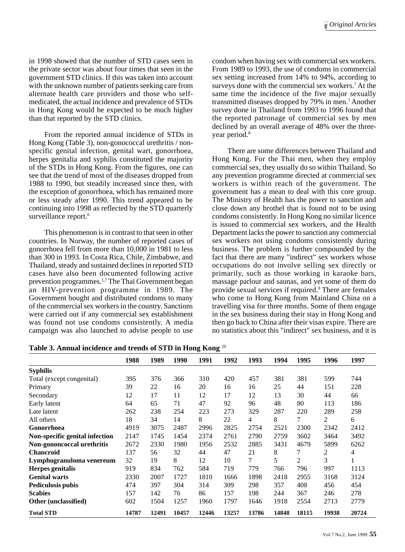in 1998 showed that the number of STD cases seen in the private sector was about four times that seen in the government STD clinics. If this was taken into account with the unknown number of patients seeking care from alternate health care providers and those who selfmedicated, the actual incidence and prevalence of STDs in Hong Kong would be expected to be much higher than that reported by the STD clinics.

From the reported annual incidence of STDs in Hong Kong (Table 3), non-gonococcal urethritis / nonspecific genital infection, genital wart, gonorrhoea, herpes genitalia and syphilis constituted the majority of the STDs in Hong Kong. From the figures, one can see that the trend of most of the diseases dropped from 1988 to 1990, but steadily increased since then, with the exception of gonorrhoea, which has remained more or less steady after 1990. This trend appeared to be continuing into 1998 as reflected by the STD quarterly surveillance report.<sup>6</sup>

This phenomenon is in contrast to that seen in other countries. In Norway, the number of reported cases of gonorrhoea fell from more than 10,000 in 1981 to less than 300 in 1993. In Costa Rica, Chile, Zimbabwe, and Thailand, steady and sustained declines in reported STD cases have also been documented following active prevention programmes.1,7 The Thai Government began an HIV-prevention programme in 1989. The Government bought and distributed condoms to many of the commercial sex workers in the country. Sanctions were carried out if any commercial sex establishment was found not use condoms consistently. A media campaign was also launched to advise people to use

condom when having sex with commercial sex workers. From 1989 to 1993, the use of condoms in commercial sex setting increased from 14% to 94%, according to surveys done with the commercial sex workers.<sup>7</sup> At the same time the incidence of the five major sexually transmitted diseases dropped by 79% in men.<sup>7</sup> Another survey done in Thailand from 1993 to 1996 found that the reported patronage of commercial sex by men declined by an overall average of 48% over the threeyear period.<sup>8</sup>

There are some differences between Thailand and Hong Kong. For the Thai men, when they employ commercial sex, they usually do so within Thailand. So any prevention programme directed at commercial sex workers is within reach of the government. The government has a mean to deal with this core group. The Ministry of Health has the power to sanction and close down any brothel that is found not to be using condoms consistently. In Hong Kong no similar licence is issued to commercial sex workers, and the Health Department lacks the power to sanction any commercial sex workers not using condoms consistently during business. The problem is further compounded by the fact that there are many "indirect" sex workers whose occupations do not involve selling sex directly or primarily, such as those working in karaoke bars, massage parlour and saunas, and yet some of them do provide sexual services if required.9 There are females who come to Hong Kong from Mainland China on a travelling visa for three months. Some of them engage in the sex business during their stay in Hong Kong and then go back to China after their visas expire. There are no statistics about this "indirect" sex business, and it is

**Table 3. Annual incidence and trends of STD in Hong Kong** <sup>20</sup>

|                                | 1988  | 1989  | 1990  | 1991  | 1992  | 1993  | 1994  | 1995           | 1996  | 1997  |
|--------------------------------|-------|-------|-------|-------|-------|-------|-------|----------------|-------|-------|
| <b>Syphilis</b>                |       |       |       |       |       |       |       |                |       |       |
| Total (except congenital)      | 395   | 376   | 366   | 310   | 420   | 457   | 381   | 381            | 599   | 744   |
| Primary                        | 39    | 22    | 16    | 20    | 16    | 16    | 25    | 44             | 151   | 228   |
| Secondary                      | 12    | 17    | 11    | 12    | 17    | 12    | 13    | 30             | 44    | 66    |
| Early latent                   | 64    | 65    | 71    | 47    | 92    | 96    | 48    | 80             | 113   | 186   |
| Late latent                    | 262   | 238   | 254   | 223   | 273   | 329   | 287   | 220            | 289   | 258   |
| All others                     | 18    | 34    | 14    | 8     | 22    | 4     | 8     | 7              | 2     | 6     |
| Gonorrhoea                     | 4919  | 3075  | 2487  | 2996  | 2825  | 2754  | 2521  | 2300           | 2342  | 2412  |
| Non-specific genital infection | 2147  | 1745  | 1454  | 2374  | 2761  | 2790  | 2759  | 3602           | 3464  | 3492  |
| Non-gononcoccal urethritis     | 2672  | 2330  | 1980  | 1956  | 2532  | 2885  | 3431  | 4679           | 5899  | 6262  |
| <b>Chancroid</b>               | 137   | 56    | 32    | 44    | 47    | 21    | 8     | 7              | 2     | 4     |
| Lymphogranuloma venereum       | 32    | 19    | 8     | 12    | 10    | 7     | 5     | $\overline{2}$ | 3     | -1    |
| <b>Herpes</b> genitalis        | 919   | 834   | 762   | 584   | 719   | 779   | 766   | 796            | 997   | 1113  |
| <b>Genital warts</b>           | 2330  | 2007  | 1727  | 1810  | 1666  | 1898  | 2418  | 2955           | 3168  | 3124  |
| <b>Pediculosis pubis</b>       | 474   | 397   | 304   | 314   | 309   | 298   | 357   | 408            | 456   | 454   |
| <b>Scabies</b>                 | 157   | 142   | 76    | 86    | 157   | 198   | 244   | 367            | 246   | 278   |
| Other (unclassified)           | 602   | 1504  | 1257  | 1960  | 1797  | 1646  | 1918  | 2554           | 2713  | 2779  |
| <b>Total STD</b>               | 14787 | 12491 | 10457 | 12446 | 13257 | 13786 | 14848 | 18115          | 19938 | 20724 |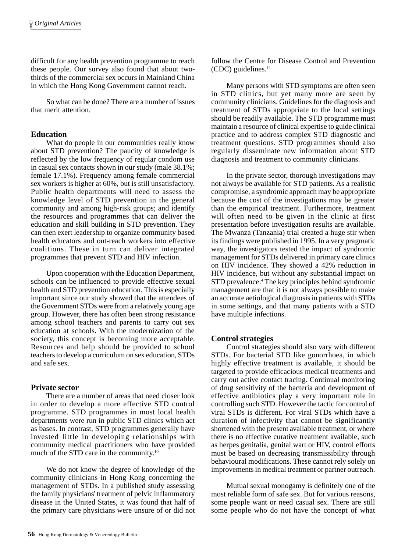difficult for any health prevention programme to reach these people. Our survey also found that about twothirds of the commercial sex occurs in Mainland China in which the Hong Kong Government cannot reach.

So what can be done? There are a number of issues that merit attention.

### **Education**

What do people in our communities really know about STD prevention? The paucity of knowledge is reflected by the low frequency of regular condom use in casual sex contacts shown in our study (male 38.1%; female 17.1%). Frequency among female commercial sex workers is higher at 60%, but is still unsatisfactory. Public health departments will need to assess the knowledge level of STD prevention in the general community and among high-risk groups; and identify the resources and programmes that can deliver the education and skill building in STD prevention. They can then exert leadership to organize community based health educators and out-reach workers into effective coalitions. These in turn can deliver integrated programmes that prevent STD and HIV infection.

Upon cooperation with the Education Department, schools can be influenced to provide effective sexual health and STD prevention education. This is especially important since our study showed that the attendees of the Government STDs were from a relatively young age group. However, there has often been strong resistance among school teachers and parents to carry out sex education at schools. With the modernization of the society, this concept is becoming more acceptable. Resources and help should be provided to school teachers to develop a curriculum on sex education, STDs and safe sex.

### **Private sector**

There are a number of areas that need closer look in order to develop a more effective STD control programme. STD programmes in most local health departments were run in public STD clinics which act as bases. In contrast, STD programmes generally have invested little in developing relationships with community medical practitioners who have provided much of the STD care in the community.<sup>10</sup>

We do not know the degree of knowledge of the community clinicians in Hong Kong concerning the management of STDs. In a published study assessing the family physicians' treatment of pelvic inflammatory disease in the United States, it was found that half of the primary care physicians were unsure of or did not follow the Centre for Disease Control and Prevention (CDC) guidelines.11

Many persons with STD symptoms are often seen in STD clinics, but yet many more are seen by community clinicians. Guidelines for the diagnosis and treatment of STDs appropriate to the local settings should be readily available. The STD programme must maintain a resource of clinical expertise to guide clinical practice and to address complex STD diagnostic and treatment questions. STD programmes should also regularly disseminate new information about STD diagnosis and treatment to community clinicians.

In the private sector, thorough investigations may not always be available for STD patients. As a realistic compromise, a syndromic approach may be appropriate because the cost of the investigations may be greater than the empirical treatment. Furthermore, treatment will often need to be given in the clinic at first presentation before investigation results are available. The Mwanza (Tanzania) trial created a huge stir when its findings were published in 1995. In a very pragmatic way, the investigators tested the impact of syndromic management for STDs delivered in primary care clinics on HIV incidence. They showed a 42% reduction in HIV incidence, but without any substantial impact on STD prevalence.<sup>4</sup> The key principles behind syndromic management are that it is not always possible to make an accurate aetiological diagnosis in patients with STDs in some settings, and that many patients with a STD have multiple infections.

## **Control strategies**

Control strategies should also vary with different STDs. For bacterial STD like gonorrhoea, in which highly effective treatment is available, it should be targeted to provide efficacious medical treatments and carry out active contact tracing. Continual monitoring of drug sensitivity of the bacteria and development of effective antibiotics play a very important role in controlling such STD. However the tactic for control of viral STDs is different. For viral STDs which have a duration of infectivity that cannot be significantly shortened with the present available treatment, or where there is no effective curative treatment available, such as herpes genitalia, genital wart or HIV, control efforts must be based on decreasing transmissibility through behavioural modifications. These cannot rely solely on improvements in medical treatment or partner outreach.

Mutual sexual monogamy is definitely one of the most reliable form of safe sex. But for various reasons, some people want or need casual sex. There are still some people who do not have the concept of what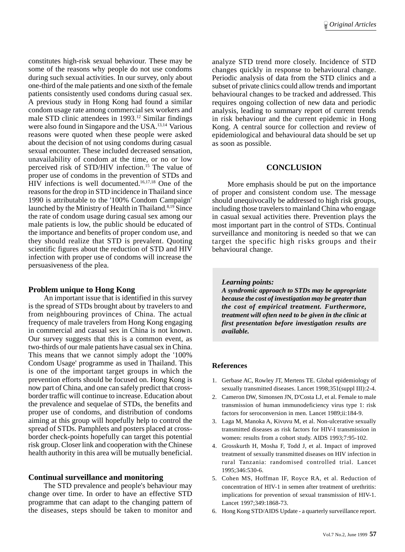constitutes high-risk sexual behaviour. These may be some of the reasons why people do not use condoms during such sexual activities. In our survey, only about one-third of the male patients and one sixth of the female patients consistently used condoms during casual sex. A previous study in Hong Kong had found a similar condom usage rate among commercial sex workers and male STD clinic attendees in 1993.<sup>12</sup> Similar findings were also found in Singapore and the USA.<sup>13,14</sup> Various reasons were quoted when these people were asked about the decision of not using condoms during casual sexual encounter. These included decreased sensation, unavailability of condom at the time, or no or low perceived risk of STD/HIV infection.15 The value of proper use of condoms in the prevention of STDs and HIV infections is well documented.16,17,18 One of the reasons for the drop in STD incidence in Thailand since 1990 is attributable to the '100% Condom Campaign' launched by the Ministry of Health in Thailand.<sup>8,19</sup> Since the rate of condom usage during casual sex among our male patients is low, the public should be educated of the importance and benefits of proper condom use, and they should realize that STD is prevalent. Quoting scientific figures about the reduction of STD and HIV infection with proper use of condoms will increase the persuasiveness of the plea.

### **Problem unique to Hong Kong**

An important issue that is identified in this survey is the spread of STDs brought about by travelers to and from neighbouring provinces of China. The actual frequency of male travelers from Hong Kong engaging in commercial and casual sex in China is not known. Our survey suggests that this is a common event, as two-thirds of our male patients have casual sex in China. This means that we cannot simply adopt the '100% Condom Usage' programme as used in Thailand. This is one of the important target groups in which the prevention efforts should be focused on. Hong Kong is now part of China, and one can safely predict that crossborder traffic will continue to increase. Education about the prevalence and sequelae of STDs, the benefits and proper use of condoms, and distribution of condoms aiming at this group will hopefully help to control the spread of STDs. Pamphlets and posters placed at crossborder check-points hopefully can target this potential risk group. Closer link and cooperation with the Chinese health authority in this area will be mutually beneficial.

### **Continual surveillance and monitoring**

The STD prevalence and people's behaviour may change over time. In order to have an effective STD programme that can adapt to the changing pattern of the diseases, steps should be taken to monitor and analyze STD trend more closely. Incidence of STD changes quickly in response to behavioural change. Periodic analysis of data from the STD clinics and a subset of private clinics could allow trends and important behavioural changes to be tracked and addressed. This requires ongoing collection of new data and periodic analysis, leading to summary report of current trends in risk behaviour and the current epidemic in Hong Kong. A central source for collection and review of epidemiological and behavioural data should be set up as soon as possible.

### **CONCLUSION**

More emphasis should be put on the importance of proper and consistent condom use. The message should unequivocally be addressed to high risk groups, including those travelers to mainland China who engage in casual sexual activities there. Prevention plays the most important part in the control of STDs. Continual surveillance and monitoring is needed so that we can target the specific high risks groups and their behavioural change.

#### *Learning points:*

*A syndromic approach to STDs may be appropriate because the cost of investigation may be greater than the cost of empirical treatment. Furthermore, treatment will often need to be given in the clinic at first presentation before investigation results are available.*

### **References**

- 1. Gerbase AC, Rowley JT, Mertens TE. Global epidemiology of sexually transmitted diseases. Lancet 1998;351(suppl III):2-4.
- 2. Cameron DW, Simonsen JN, D'Costa LJ, et al. Female to male transmission of human immunodeficiency virus type 1: risk factors for seroconversion in men. Lancet 1989;ii:184-9.
- 3. Laga M, Manoka A, Kivuvu M, et al. Non-ulcerative sexually transmitted diseases as risk factors for HIV-I transmission in women: results from a cohort study. AIDS 1993;7:95-102.
- 4. Grosskurth H, Mosha F, Todd J, et al. Impact of improved treatment of sexually transmitted diseases on HIV infection in rural Tanzania: randomised controlled trial. Lancet 1995;346:530-6.
- 5. Cohen MS, Hoffman IF, Royce RA, et al. Reduction of concentration of HIV-1 in semen after treatment of urethritis: implications for prevention of sexual transmission of HIV-1. Lancet 1997;349:1868-73.
- 6. Hong Kong STD/AIDS Update a quarterly surveillance report.